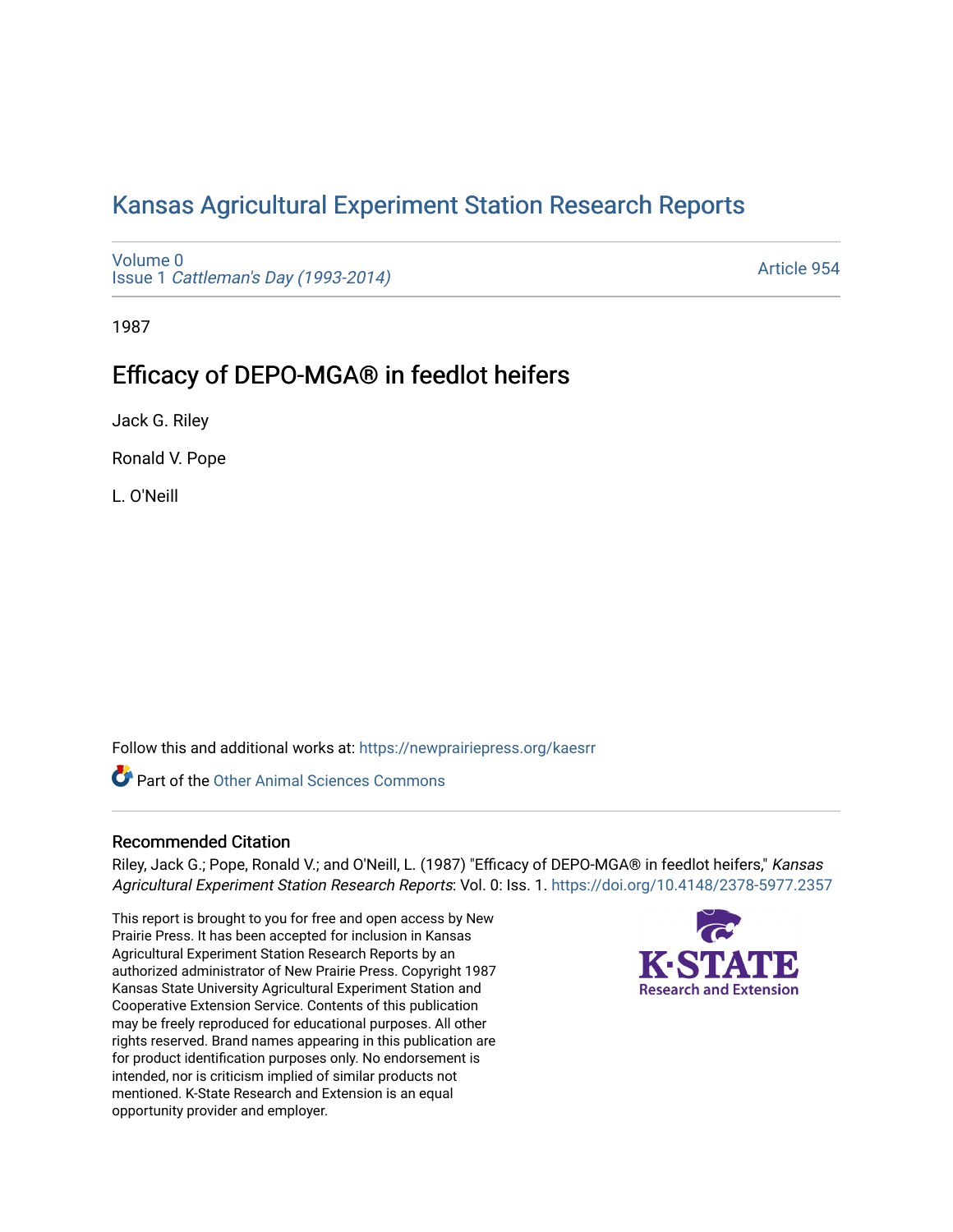# [Kansas Agricultural Experiment Station Research Reports](https://newprairiepress.org/kaesrr)

[Volume 0](https://newprairiepress.org/kaesrr/vol0) Issue 1 [Cattleman's Day \(1993-2014\)](https://newprairiepress.org/kaesrr/vol0/iss1) 

[Article 954](https://newprairiepress.org/kaesrr/vol0/iss1/954) 

1987

## Efficacy of DEPO-MGA® in feedlot heifers

Jack G. Riley

Ronald V. Pope

L. O'Neill

Follow this and additional works at: [https://newprairiepress.org/kaesrr](https://newprairiepress.org/kaesrr?utm_source=newprairiepress.org%2Fkaesrr%2Fvol0%2Fiss1%2F954&utm_medium=PDF&utm_campaign=PDFCoverPages) 

**C** Part of the [Other Animal Sciences Commons](http://network.bepress.com/hgg/discipline/82?utm_source=newprairiepress.org%2Fkaesrr%2Fvol0%2Fiss1%2F954&utm_medium=PDF&utm_campaign=PDFCoverPages)

### Recommended Citation

Riley, Jack G.; Pope, Ronald V.; and O'Neill, L. (1987) "Efficacy of DEPO-MGA® in feedlot heifers," Kansas Agricultural Experiment Station Research Reports: Vol. 0: Iss. 1.<https://doi.org/10.4148/2378-5977.2357>

This report is brought to you for free and open access by New Prairie Press. It has been accepted for inclusion in Kansas Agricultural Experiment Station Research Reports by an authorized administrator of New Prairie Press. Copyright 1987 Kansas State University Agricultural Experiment Station and Cooperative Extension Service. Contents of this publication may be freely reproduced for educational purposes. All other rights reserved. Brand names appearing in this publication are for product identification purposes only. No endorsement is intended, nor is criticism implied of similar products not mentioned. K-State Research and Extension is an equal opportunity provider and employer.

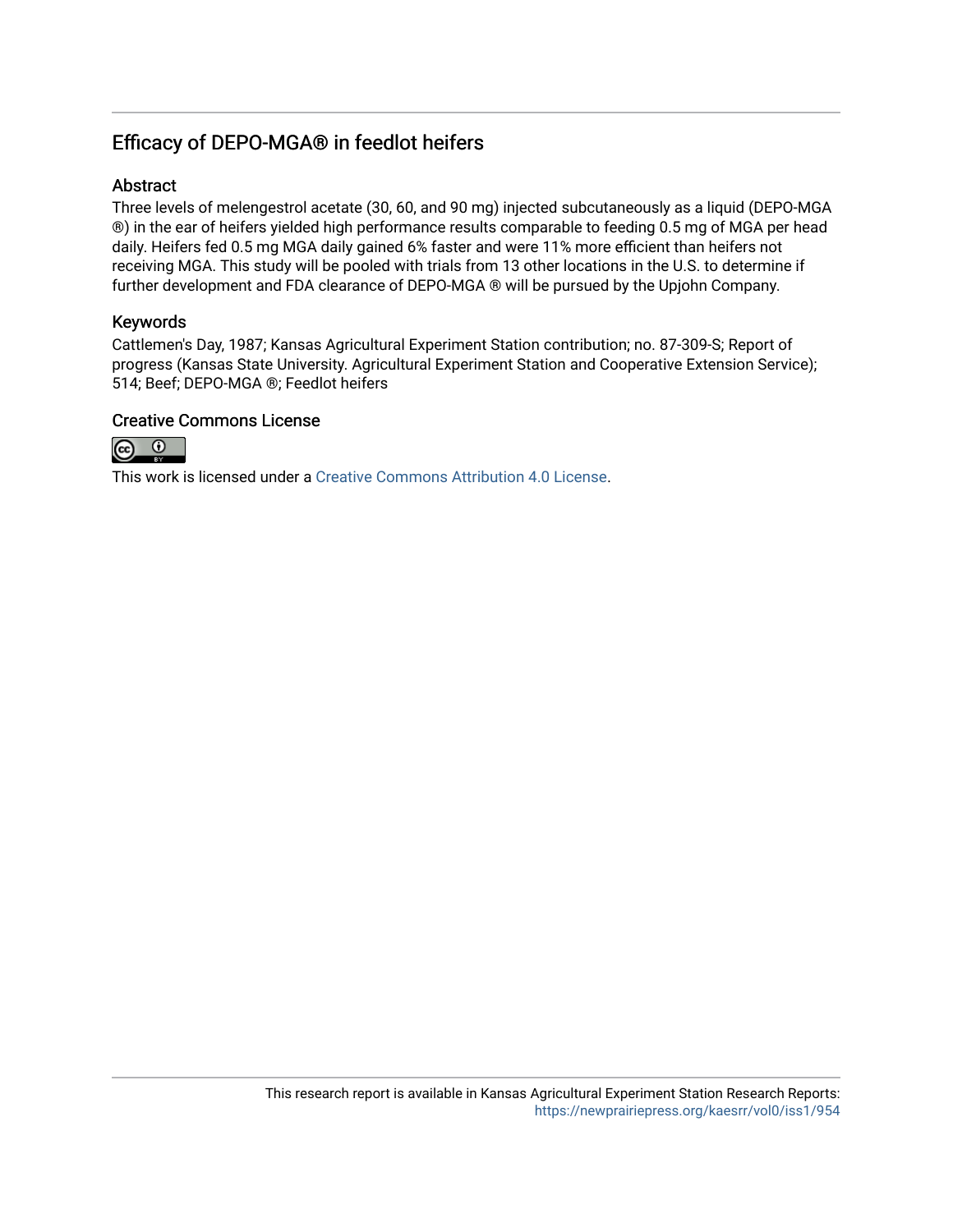## Efficacy of DEPO-MGA® in feedlot heifers

## Abstract

Three levels of melengestrol acetate (30, 60, and 90 mg) injected subcutaneously as a liquid (DEPO-MGA ®) in the ear of heifers yielded high performance results comparable to feeding 0.5 mg of MGA per head daily. Heifers fed 0.5 mg MGA daily gained 6% faster and were 11% more efficient than heifers not receiving MGA. This study will be pooled with trials from 13 other locations in the U.S. to determine if further development and FDA clearance of DEPO-MGA ® will be pursued by the Upjohn Company.

## Keywords

Cattlemen's Day, 1987; Kansas Agricultural Experiment Station contribution; no. 87-309-S; Report of progress (Kansas State University. Agricultural Experiment Station and Cooperative Extension Service); 514; Beef; DEPO-MGA ®; Feedlot heifers

## Creative Commons License



This work is licensed under a [Creative Commons Attribution 4.0 License](https://creativecommons.org/licenses/by/4.0/).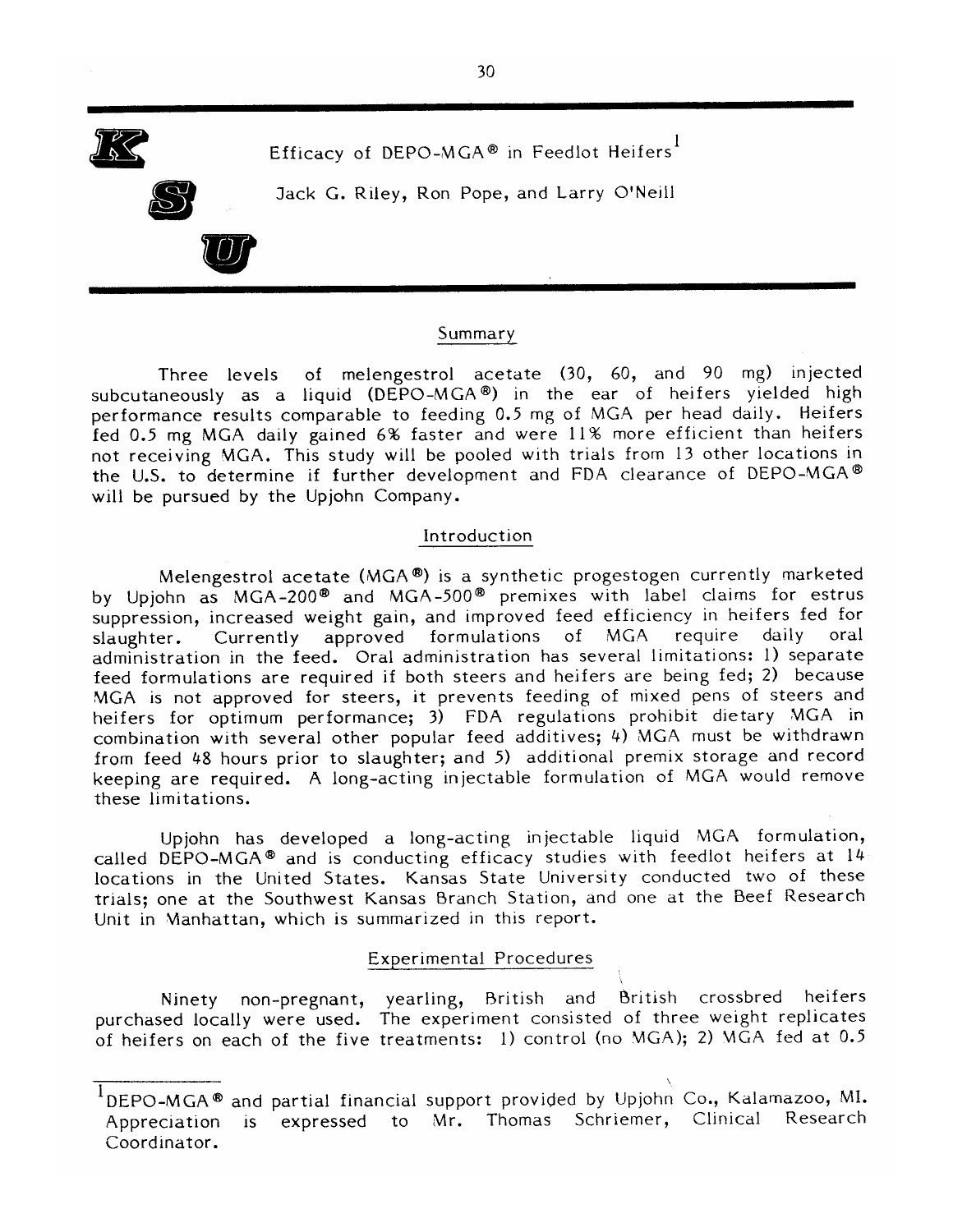

#### Summary

of melengestrol acetate (30, 60, and 90 mg) injected Three levels subcutaneously as a liquid (DEPO-MGA®) in the ear of heifers yielded high performance results comparable to feeding 0.5 mg of MGA per head daily. Heifers fed 0.5 mg MGA daily gained 6% faster and were 11% more efficient than heifers not receiving MGA. This study will be pooled with trials from 13 other locations in the U.S. to determine if further development and FDA clearance of DEPO-MGA® will be pursued by the Upjohn Company.

#### Introduction

Melengestrol acetate (MGA®) is a synthetic progestogen currently marketed by Upiohn as MGA-200<sup>®</sup> and MGA-500<sup>®</sup> premixes with label claims for estrus suppression, increased weight gain, and improved feed efficiency in heifers fed for of MGA require daily oral Currently approved formulations slaughter. administration in the feed. Oral administration has several limitations: 1) separate feed formulations are required if both steers and heifers are being fed; 2) because MGA is not approved for steers, it prevents feeding of mixed pens of steers and heifers for optimum performance; 3) FDA regulations prohibit dietary MGA in combination with several other popular feed additives; 4) MGA must be withdrawn from feed 48 hours prior to slaughter; and 5) additional premix storage and record keeping are required. A long-acting injectable formulation of MGA would remove these limitations.

Upjohn has developed a long-acting injectable liquid MGA formulation, called DEPO-MGA® and is conducting efficacy studies with feedlot heifers at 14 locations in the United States. Kansas State University conducted two of these trials; one at the Southwest Kansas Branch Station, and one at the Beef Research Unit in Manhattan, which is summarized in this report.

### **Experimental Procedures**

Ninety non-pregnant, yearling, British and British crossbred heifers purchased locally were used. The experiment consisted of three weight replicates of heifers on each of the five treatments: 1) control (no MGA); 2) MGA fed at 0.5

DEPO-MGA® and partial financial support provided by Upjohn Co., Kalamazoo, MI. Appreciation is expressed to Mr. Thomas Schriemer, Clinical Research Coordinator.